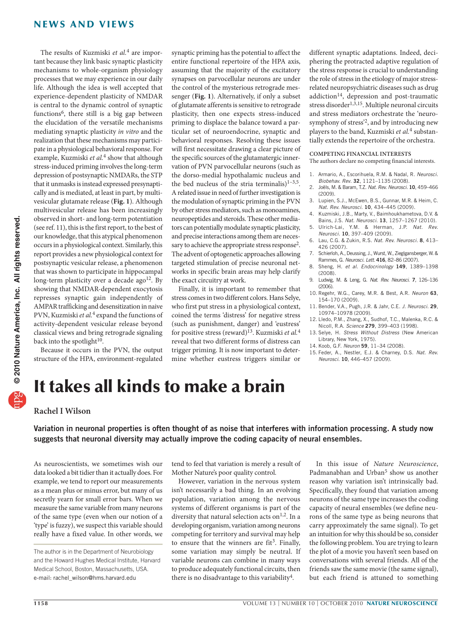## news and views

The results of Kuzmiski *et al.*4 are important because they link basic synaptic plasticity mechanisms to whole-organism physiology processes that we may experience in our daily life. Although the idea is well accepted that experience-dependent plasticity of NMDAR is central to the dynamic control of synaptic functions<sup>6</sup>, there still is a big gap between the elucidation of the versatile mechanisms mediating synaptic plasticity *in vitro* and the realization that these mechanisms may participate in a physiological behavioral response. For example, Kuzmiski *et al.*4 show that although stress-induced priming involves the long-term depression of postsynaptic NMDARs, the STP that it unmasks is instead expressed presynaptically and is mediated, at least in part, by multivesicular glutamate release (**Fig. 1**). Although multivesicular release has been increasingly observed in short- and long-term potentiation (see ref. 11), this is the first report, to the best of our knowledge, that this atypical phenomenon occurs in a physiological context. Similarly, this report provides a new physiological context for postsynaptic vesicular release, a phenomenon that was shown to participate in hippocampal long-term plasticity over a decade ago<sup>12</sup>. By showing that NMDAR-dependent exocytosis represses synaptic gain independently of AMPAR trafficking and desensitization in naive PVN, Kuzmiski *et al.*4 expand the functions of activity-dependent vesicular release beyond classical views and bring retrograde signaling back into the spotlight $10$ .

Because it occurs in the PVN, the output structure of the HPA, environment-regulated

synaptic priming has the potential to affect the entire functional repertoire of the HPA axis, assuming that the majority of the excitatory synapses on parvocellular neurons are under the control of the mysterious retrograde messenger (**Fig. 1**). Alternatively, if only a subset of glutamate afferents is sensitive to retrograde plasticity, then one expects stress-induced priming to displace the balance toward a particular set of neuroendocrine, synaptic and behavioral responses. Resolving these issues will first necessitate drawing a clear picture of the specific sources of the glutamatergic innervation of PVN parvocellular neurons (such as the dorso-medial hypothalamic nucleus and the bed nucleus of the stria terminalis) $1-3.5$ . Arelated issue in need of further investigation is the modulation of synaptic priming in the PVN by other stress mediators, such as monoamines, neuropeptides and steroids. These other mediators can potentially modulate synaptic plasticity, and precise interactions among them are necessary to achieve the appropriate stress response<sup>2</sup>. The advent of optogenetic approaches allowing targeted stimulation of precise neuronal networks in specific brain areas may help clarify the exact circuitry at work.

Finally, it is important to remember that stress comes in two different colors. Hans Selye, who first put stress in a physiological context, coined the terms 'distress' for negative stress (such as punishment, danger) and 'eustress' for positive stress (reward)13. Kuzmiski *et al.*<sup>4</sup> reveal that two different forms of distress can trigger priming. It is now important to determine whether eustress triggers similar or

different synaptic adaptations. Indeed, deciphering the protracted adaptive regulation of the stress response is crucial to understanding the role of stress in the etiology of major stressrelated neuropsychiatric diseases such as drug addiction<sup>14</sup>, depression and post-traumatic stress disorder<sup>1,3,15</sup>. Multiple neuronal circuits and stress mediators orchestrate the 'neurosymphony of stress'2, and by introducing new players to the band, Kuzmiski *et al.*4 substantially extends the repertoire of the orchestra.

#### **COMPETING FINANCIAL INTERESTS**

The authors declare no competing financial interests.

- 1. Armario, A., Escorihuela, R.M. & Nadal, R. *Neurosci. Biobehav. Rev*. 32, 1121–1135 (2008).
- 2. Joëls, M. & Baram, T.Z. *Nat. Rev. Neurosci*. 10, 459–466 (2009).
- 3. Lupien, S.J., McEwen, B.S., Gunnar, M.R. & Heim, C. *Nat. Rev. Neurosci*. 10, 434–445 (2009).
- 4. Kuzmiski, J.B., Marty, V., Baimhoukhametova, D.V. & Bains, J.S. *Nat. Neurosci*. 13, 1257–1267 (2010).
- 5. Ulrich-Lai, Y.M. & Herman, J.P. *Nat. Rev. Neurosci*. 10, 397–409 (2009).
- 6. Lau, C.G. & Zukin, R.S. *Nat. Rev. Neurosci*. 8, 413– 426 (2007).
- 7. Schierloh, A., Deussing, J., Wurst, W., Zieglgansberger, W. & Rammes, G. *Neurosci. Lett*. 416, 82–86 (2007).
- 8. Sheng, H. *et al. Endocrinology* 149, 1389–1398 (2008).
- 9. Ludwig, M. & Leng, G. *Nat. Rev. Neurosci*. 7, 126–136 (2006).
- 10. Regehr, W.G., Carey, M.R. & Best, A.R. *Neuron* 63, 154–170 (2009).
- 11. Bender, V.A., Pugh, J.R. & Jahr, C.E. *J. Neurosci*. 29, 10974–10978 (2009).
- 12. Lledo, P.M., Zhang, X., Sudhof, T.C., Malenka, R.C. & Nicoll, R.A. *Science* 279, 399–403 (1998).
- 13. Selye, H. *Stress Without Distress* (New American Library, New York, 1975).
- 14. Koob, G.F. *Neuron* 59, 11–34 (2008).
- 15. Feder, A., Nestler, E.J. & Charney, D.S. *Nat. Rev. Neurosci*. 10, 446–457 (2009).

# It takes all kinds to make a brain

#### **Rachel I Wilson**

Variation in neuronal properties is often thought of as noise that interferes with information processing. A study now suggests that neuronal diversity may actually improve the coding capacity of neural ensembles.

As neuroscientists, we sometimes wish our data looked a bit tidier than it actually does. For example, we tend to report our measurements as a mean plus or minus error, but many of us secretly yearn for small error bars. When we measure the same variable from many neurons of the same type (even when our notion of a 'type' is fuzzy), we suspect this variable should really have a fixed value. In other words, we tend to feel that variation is merely a result of Mother Nature's poor quality control.

However, variation in the nervous system isn't necessarily a bad thing. In an evolving population, variation among the nervous systems of different organisms is part of the diversity that natural selection acts on<sup>1,2</sup>. In a developing organism, variation among neurons competing for territory and survival may help to ensure that the winners are  $fit<sup>3</sup>$ . Finally, some variation may simply be neutral. If variable neurons can combine in many ways to produce adequately functional circuits, then there is no disadvantage to this variability<sup>4</sup>.

In this issue of *Nature Neuroscience*, Padmanabhan and Urban<sup>5</sup> show us another reason why variation isn't intrinsically bad. Specifically, they found that variation among neurons of the same type increases the coding capacity of neural ensembles (we define neurons of the same type as being neurons that carry approximately the same signal). To get an intuition for why this should be so, consider the following problem. You are trying to learn the plot of a movie you haven't seen based on conversations with several friends. All of the friends saw the same movie (the same signal), but each friend is attuned to something

The author is in the Department of Neurobiology and the Howard Hughes Medical Institute, Harvard Medical School, Boston, Massachusetts, USA. e-mail: rachel\_wilson@hms.harvard.edu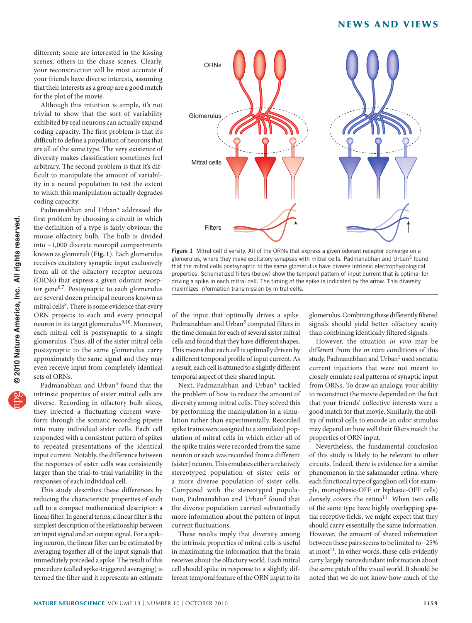#### news and views

different; some are interested in the kissing scenes, others in the chase scenes. Clearly, your reconstruction will be most accurate if your friends have diverse interests, assuming that their interests as a group are a good match for the plot of the movie.

Although this intuition is simple, it's not trivial to show that the sort of variability exhibited by real neurons can actually expand coding capacity. The first problem is that it's difficult to define a population of neurons that are all of the same type. The very existence of diversity makes classification sometimes feel arbitrary. The second problem is that it's difficult to manipulate the amount of variability in a neural population to test the extent to which this manipulation actually degrades coding capacity.

Padmanabhan and Urban<sup>5</sup> addressed the first problem by choosing a circuit in which the definition of a type is fairly obvious: the mouse olfactory bulb. The bulb is divided into ~1,000 discrete neuropil compartments known as glomeruli (**Fig. 1**). Each glomerulus receives excitatory synaptic input exclusively from all of the olfactory receptor neurons (ORNs) that express a given odorant receptor gene<sup>6,7</sup>. Postsynaptic to each glomerulus are several dozen principal neurons known as mitral cells<sup>8</sup>. There is some evidence that every ORN projects to each and every principal neuron in its target glomerulus<sup>9,10</sup>. Moreover, each mitral cell is postsynaptic to a single glomerulus. Thus, all of the sister mitral cells postsynaptic to the same glomerulus carry approximately the same signal and they may even receive input from completely identical sets of ORNs.

Padmanabhan and Urban<sup>5</sup> found that the intrinsic properties of sister mitral cells are diverse. Recording in olfactory bulb slices, they injected a fluctuating current waveform through the somatic recording pipette into many individual sister cells. Each cell responded with a consistent pattern of spikes to repeated presentations of the identical input current. Notably, the difference between the responses of sister cells was consistently larger than the trial-to-trial variability in the responses of each individual cell.

This study describes these differences by reducing the characteristic properties of each cell to a compact mathematical descriptor: a linear filter. In general terms, a linear filter is the simplest description of the relationship between an input signal and an output signal. For a spiking neuron, the linear filter can be estimated by averaging together all of the input signals that immediately preceded a spike. The result of this procedure (called spike-triggered averaging) is termed the filter and it represents an estimate



Figure 1 Mitral cell diversity. All of the ORNs that express a given odorant receptor converge on a glomerulus, where they make excitatory synapses with mitral cells. Padmanabhan and Urban<sup>5</sup> found that the mitral cells postsynaptic to the same glomerulus have diverse intrinsic electrophysiological properties. Schematized filters (below) show the temporal pattern of input current that is optimal for driving a spike in each mitral cell. The timing of the spike is indicated by the arrow. This diversity maximizes information transmission by mitral cells.

of the input that optimally drives a spike. Padmanabhan and Urban<sup>5</sup> computed filters in the time domain for each of several sister mitral cells and found that they have different shapes. This means that each cell is optimally driven by a different temporal profile of input current. As a result, each cell is attuned to a slightly different temporal aspect of their shared input.

Next, Padmanabhan and Urban<sup>5</sup> tackled the problem of how to reduce the amount of diversity among mitral cells. They solved this by performing the manipulation in a simulation rather than experimentally. Recorded spike trains were assigned to a simulated population of mitral cells in which either all of the spike trains were recorded from the same neuron or each was recorded from a different (sister) neuron. This emulates either a relatively stereotyped population of sister cells or a more diverse population of sister cells. Compared with the stereotyped population, Padmanabhan and Urban<sup>5</sup> found that the diverse population carried substantially more information about the pattern of input current fluctuations.

These results imply that diversity among the intrinsic properties of mitral cells is useful in maximizing the information that the brain receives about the olfactory world. Each mitral cell should spike in response to a slightly different temporal feature of the ORN input to its glomerulus. Combining these differently filtered signals should yield better olfactory acuity than combining identically filtered signals.

However, the situation *in vivo* may be different from the *in vitro* conditions of this study. Padmanabhan and Urban<sup>5</sup> used somatic current injections that were not meant to closely emulate real patterns of synaptic input from ORNs. To draw an analogy, your ability to reconstruct the movie depended on the fact that your friends' collective interests were a good match for that movie. Similarly, the ability of mitral cells to encode an odor stimulus may depend on how well their filters match the properties of ORN input.

Nevertheless, the fundamental conclusion of this study is likely to be relevant to other circuits. Indeed, there is evidence for a similar phenomenon in the salamander retina, where each functional type of ganglion cell (for example, monophasic-OFF or biphasic-OFF cells) densely covers the retina<sup>11</sup>. When two cells of the same type have highly overlapping spatial receptive fields, we might expect that they should carry essentially the same information. However, the amount of shared information between these pairs seems to be limited to ~25% at most<sup>11</sup>. In other words, these cells evidently carry largely nonredundant information about the same patch of the visual world. It should be noted that we do not know how much of the